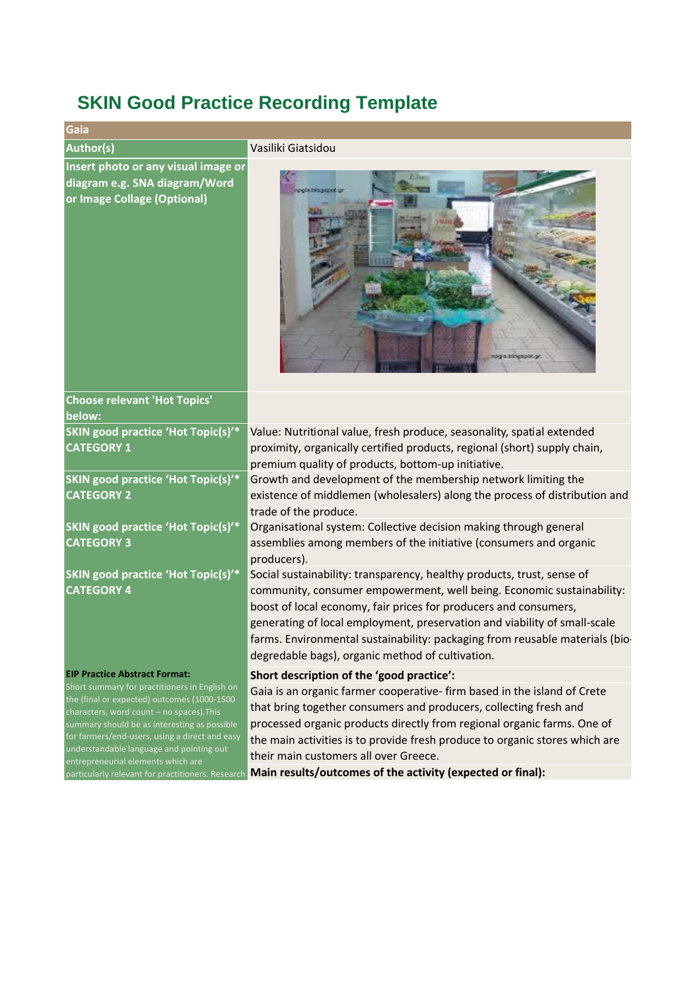## **SKIN Good Practice Recording Template**

| <u>UNIN UUUU HAUGUU NUUUHIIY TUMMAD</u>                                                                                                                                                                                                                                                                                       |                                                                                                                                                                                                                                                                                                                                                                                                                                      |
|-------------------------------------------------------------------------------------------------------------------------------------------------------------------------------------------------------------------------------------------------------------------------------------------------------------------------------|--------------------------------------------------------------------------------------------------------------------------------------------------------------------------------------------------------------------------------------------------------------------------------------------------------------------------------------------------------------------------------------------------------------------------------------|
| Gaia                                                                                                                                                                                                                                                                                                                          |                                                                                                                                                                                                                                                                                                                                                                                                                                      |
| <b>Author(s)</b>                                                                                                                                                                                                                                                                                                              | Vasiliki Giatsidou                                                                                                                                                                                                                                                                                                                                                                                                                   |
| Insert photo or any visual image or<br>diagram e.g. SNA diagram/Word<br>or Image Collage (Optional)                                                                                                                                                                                                                           | agia biogeport or                                                                                                                                                                                                                                                                                                                                                                                                                    |
| <b>Choose relevant 'Hot Topics'</b><br>below:                                                                                                                                                                                                                                                                                 |                                                                                                                                                                                                                                                                                                                                                                                                                                      |
| <b>SKIN good practice 'Hot Topic(s)'*</b><br><b>CATEGORY 1</b>                                                                                                                                                                                                                                                                | Value: Nutritional value, fresh produce, seasonality, spatial extended<br>proximity, organically certified products, regional (short) supply chain,<br>premium quality of products, bottom-up initiative.                                                                                                                                                                                                                            |
| <b>SKIN good practice 'Hot Topic(s)'*</b><br><b>CATEGORY 2</b>                                                                                                                                                                                                                                                                | Growth and development of the membership network limiting the<br>existence of middlemen (wholesalers) along the process of distribution and<br>trade of the produce.                                                                                                                                                                                                                                                                 |
| <b>SKIN good practice 'Hot Topic(s)'*</b><br><b>CATEGORY 3</b>                                                                                                                                                                                                                                                                | Organisational system: Collective decision making through general<br>assemblies among members of the initiative (consumers and organic<br>producers).                                                                                                                                                                                                                                                                                |
| <b>SKIN good practice 'Hot Topic(s)'*</b><br><b>CATEGORY 4</b>                                                                                                                                                                                                                                                                | Social sustainability: transparency, healthy products, trust, sense of<br>community, consumer empowerment, well being. Economic sustainability:<br>boost of local economy, fair prices for producers and consumers,<br>generating of local employment, preservation and viability of small-scale<br>farms. Environmental sustainability: packaging from reusable materials (bio-<br>degredable bags), organic method of cultivation. |
| <b>EIP Practice Abstract Format:</b>                                                                                                                                                                                                                                                                                          | Short description of the 'good practice':                                                                                                                                                                                                                                                                                                                                                                                            |
| Short summary for practitioners in English on<br>the (final or expected) outcomes (1000-1500<br>characters, word count - no spaces). This<br>summary should be as interesting as possible<br>for farmers/end-users, using a direct and easy<br>understandable language and pointing out<br>entrenreneurial elements which are | Gaia is an organic farmer cooperative- firm based in the island of Crete<br>that bring together consumers and producers, collecting fresh and<br>processed organic products directly from regional organic farms. One of<br>the main activities is to provide fresh produce to organic stores which are<br>their main customers all over Greece.                                                                                     |

particularly relevant for practitioners. Research **Main results/outcomes of the activity (expected or final):**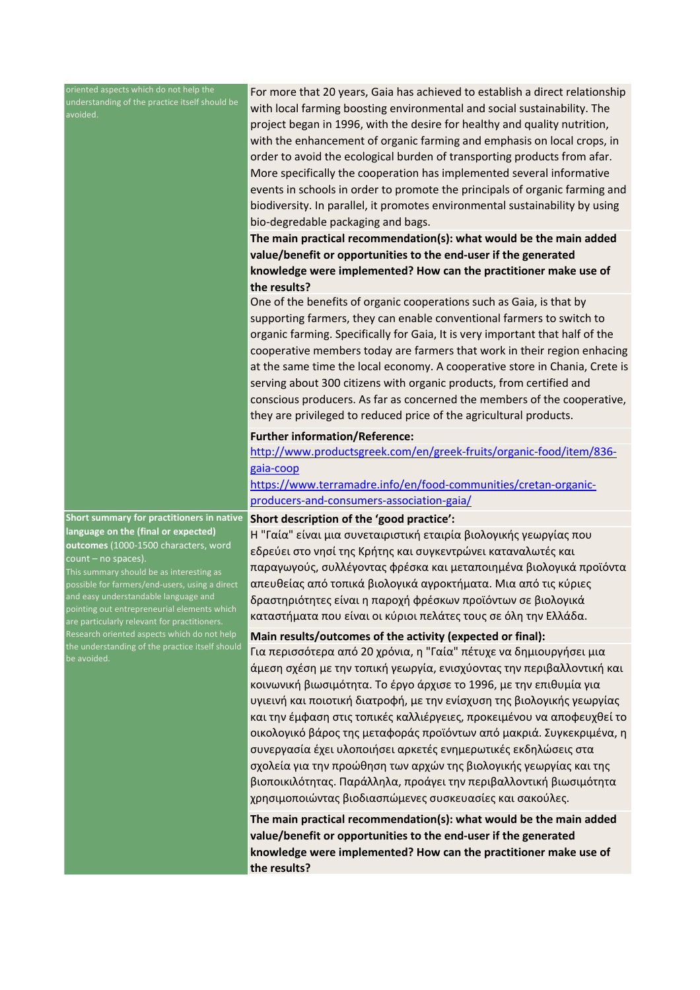oriented aspects which do not help the understanding of the practice itself should be

For more that 20 years, Gaia has achieved to establish a direct relationship with local farming boosting environmental and social sustainability. The project began in 1996, with the desire for healthy and quality nutrition, with the enhancement of organic farming and emphasis on local crops, in order to avoid the ecological burden of transporting products from afar. More specifically the cooperation has implemented several informative events in schools in order to promote the principals of organic farming and biodiversity. In parallel, it promotes environmental sustainability by using bio-degredable packaging and bags.

**The main practical recommendation(s): what would be the main added value/benefit or opportunities to the end-user if the generated knowledge were implemented? How can the practitioner make use of the results?**

One of the benefits of organic cooperations such as Gaia, is that by supporting farmers, they can enable conventional farmers to switch to organic farming. Specifically for Gaia, It is very important that half of the cooperative members today are farmers that work in their region enhacing at the same time the local economy. A cooperative store in Chania, Crete is serving about 300 citizens with organic products, from certified and conscious producers. As far as concerned the members of the cooperative, they are privileged to reduced price of the agricultural products.

## **Further information/Reference:**

http://www.productsgreek.com/en/greek-fruits/organic-food/item/836 gaia-coop

https://www.terramadre.info/en/food-communities/cretan-organicproducers-and-consumers-association-gaia/

## **Short description of the 'good practice':**

**Short summary for practitioners in native language on the (final or expected) outcomes** (1000-1500 characters, word count – no spaces).

This summary should be as interesting as possible for farmers/end-users, using a direct and easy understandable language and pointing out entrepreneurial elements which the understanding of the practice itself should be avoided.

Η "Γαία" είναι μια συνεταιριστική εταιρία βιολογικής γεωργίας που εδρεύει στο νησί της Κρήτης και συγκεντρώνει καταναλωτές και παραγωγούς, συλλέγοντας φρέσκα και μεταποιημένα βιολογικά προϊόντα απευθείας από τοπικά βιολογικά αγροκτήματα. Μια από τις κύριες δραστηριότητες είναι η παροχή φρέσκων προϊόντων σε βιολογικά καταστήματα που είναι οι κύριοι πελάτες τους σε όλη την Ελλάδα.

## **Main results/outcomes of the activity (expected or final):**

Για περισσότερα από 20 χρόνια, η "Γαία" πέτυχε να δημιουργήσει μια άμεση σχέση με την τοπική γεωργία, ενισχύοντας την περιβαλλοντική και κοινωνική βιωσιμότητα. Το έργο άρχισε το 1996, με την επιθυμία για υγιεινή και ποιοτική διατροφή, με την ενίσχυση της βιολογικής γεωργίας και την έμφαση στις τοπικές καλλιέργειες, προκειμένου να αποφευχθεί το οικολογικό βάρος της μεταφοράς προϊόντων από μακριά. Συγκεκριμένα, η συνεργασία έχει υλοποιήσει αρκετές ενημερωτικές εκδηλώσεις στα σχολεία για την προώθηση των αρχών της βιολογικής γεωργίας και της βιοποικιλότητας. Παράλληλα, προάγει την περιβαλλοντική βιωσιμότητα χρησιμοποιώντας βιοδιασπώμενες συσκευασίες και σακούλες.

**The main practical recommendation(s): what would be the main added value/benefit or opportunities to the end-user if the generated knowledge were implemented? How can the practitioner make use of the results?**